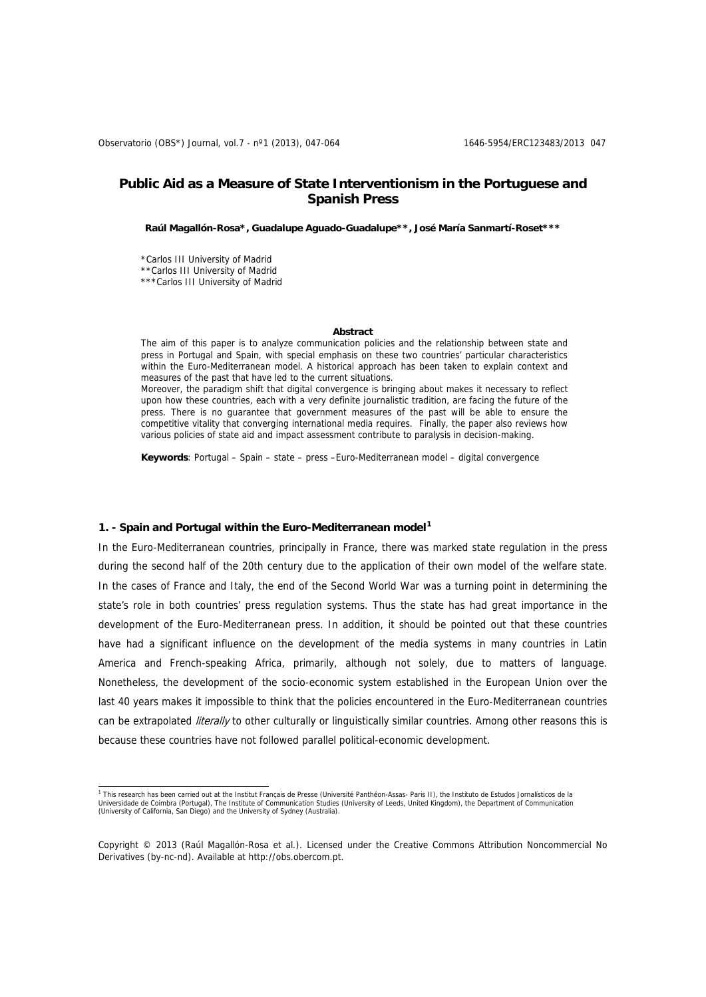# **Public Aid as a Measure of State Interventionism in the Portuguese and Spanish Press**

**Raúl Magallón-Rosa\*, Guadalupe Aguado-Guadalupe\*\*, José María Sanmartí-Roset\*\*\*** 

\*Carlos III University of Madrid \*\*Carlos III University of Madrid \*\*\*Carlos III University of Madrid

#### **Abstract**

The aim of this paper is to analyze communication policies and the relationship between state and press in Portugal and Spain, with special emphasis on these two countries' particular characteristics within the Euro-Mediterranean model. A historical approach has been taken to explain context and measures of the past that have led to the current situations.

Moreover, the paradigm shift that digital convergence is bringing about makes it necessary to reflect upon how these countries, each with a very definite journalistic tradition, are facing the future of the press. There is no guarantee that government measures of the past will be able to ensure the competitive vitality that converging international media requires. Finally, the paper also reviews how various policies of state aid and impact assessment contribute to paralysis in decision-making.

**Keywords**: Portugal – Spain – state – press –Euro-Mediterranean model – digital convergence

#### **1. - Spain and Portugal within the Euro-Mediterranean model[1](#page-0-0)**

In the Euro-Mediterranean countries, principally in France, there was marked state regulation in the press during the second half of the 20th century due to the application of their own model of the welfare state. In the cases of France and Italy, the end of the Second World War was a turning point in determining the state's role in both countries' press regulation systems. Thus the state has had great importance in the development of the Euro-Mediterranean press. In addition, it should be pointed out that these countries have had a significant influence on the development of the media systems in many countries in Latin America and French-speaking Africa, primarily, although not solely, due to matters of language. Nonetheless, the development of the socio-economic system established in the European Union over the last 40 years makes it impossible to think that the policies encountered in the Euro-Mediterranean countries can be extrapolated *literally* to other culturally or linguistically similar countries. Among other reasons this is because these countries have not followed parallel political-economic development.

<span id="page-0-0"></span><sup>&</sup>lt;sup>1</sup> This research has been carried out at the Institut Français de Presse (Université Panthéon-Assas- Paris II), the Instituto de Estudos Jornalísticos de la Universidade de Coimbra (Portugal), The Institute of Communication Studies (University of Leeds, United Kingdom), the Department of Communication (University of California, San Diego) and the University of Sydney (Australia).

Copyright © 2013 (Raúl Magallón-Rosa et al.). Licensed under the Creative Commons Attribution Noncommercial No Derivatives (by-nc-nd). Available at http://obs.obercom.pt.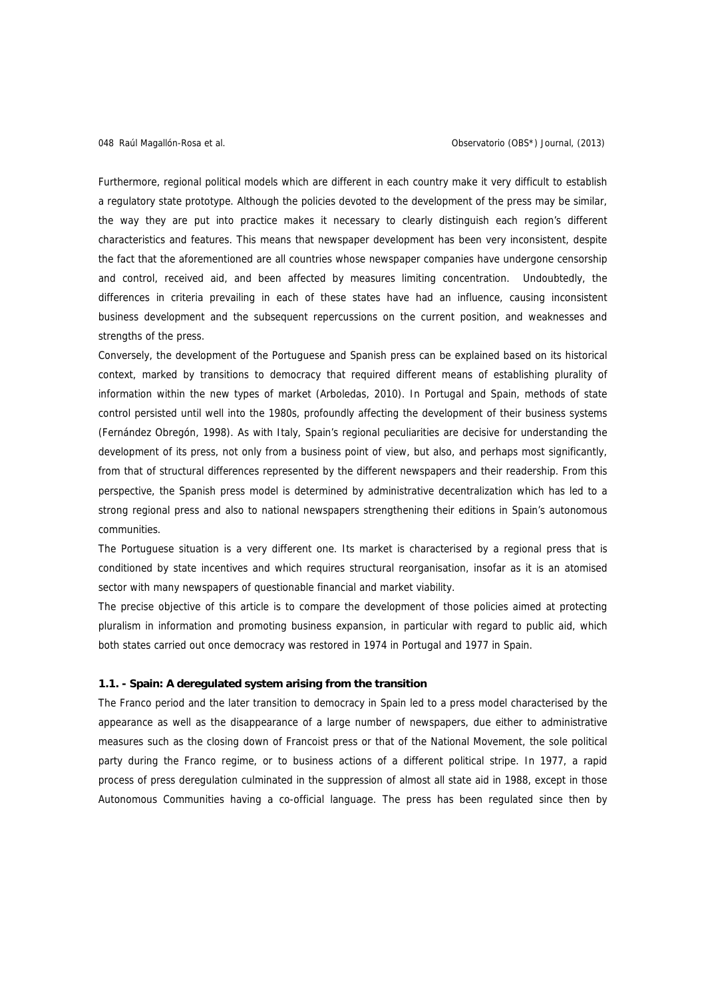Furthermore, regional political models which are different in each country make it very difficult to establish a regulatory state prototype. Although the policies devoted to the development of the press may be similar, the way they are put into practice makes it necessary to clearly distinguish each region's different characteristics and features. This means that newspaper development has been very inconsistent, despite the fact that the aforementioned are all countries whose newspaper companies have undergone censorship and control, received aid, and been affected by measures limiting concentration. Undoubtedly, the differences in criteria prevailing in each of these states have had an influence, causing inconsistent business development and the subsequent repercussions on the current position, and weaknesses and strengths of the press.

Conversely, the development of the Portuguese and Spanish press can be explained based on its historical context, marked by transitions to democracy that required different means of establishing plurality of information within the new types of market (Arboledas, 2010). In Portugal and Spain, methods of state control persisted until well into the 1980s, profoundly affecting the development of their business systems (Fernández Obregón, 1998). As with Italy, Spain's regional peculiarities are decisive for understanding the development of its press, not only from a business point of view, but also, and perhaps most significantly, from that of structural differences represented by the different newspapers and their readership. From this perspective, the Spanish press model is determined by administrative decentralization which has led to a strong regional press and also to national newspapers strengthening their editions in Spain's autonomous communities.

The Portuguese situation is a very different one. Its market is characterised by a regional press that is conditioned by state incentives and which requires structural reorganisation, insofar as it is an atomised sector with many newspapers of questionable financial and market viability.

The precise objective of this article is to compare the development of those policies aimed at protecting pluralism in information and promoting business expansion, in particular with regard to public aid, which both states carried out once democracy was restored in 1974 in Portugal and 1977 in Spain.

#### **1.1. - Spain: A deregulated system arising from the transition**

The Franco period and the later transition to democracy in Spain led to a press model characterised by the appearance as well as the disappearance of a large number of newspapers, due either to administrative measures such as the closing down of Francoist press or that of the National Movement, the sole political party during the Franco regime, or to business actions of a different political stripe. In 1977, a rapid process of press deregulation culminated in the suppression of almost all state aid in 1988, except in those Autonomous Communities having a co-official language. The press has been regulated since then by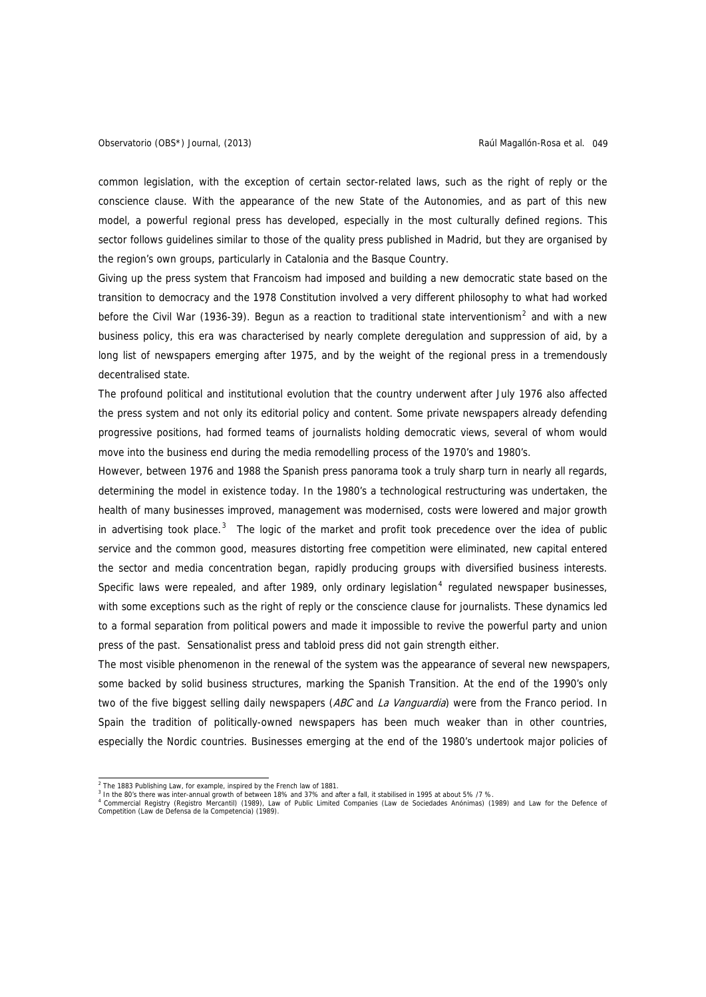common legislation, with the exception of certain sector-related laws, such as the right of reply or the conscience clause. With the appearance of the new State of the Autonomies, and as part of this new model, a powerful regional press has developed, especially in the most culturally defined regions. This sector follows guidelines similar to those of the quality press published in Madrid, but they are organised by the region's own groups, particularly in Catalonia and the Basque Country.

Giving up the press system that Francoism had imposed and building a new democratic state based on the transition to democracy and the 1978 Constitution involved a very different philosophy to what had worked before the Civil War (1936-39). Begun as a reaction to traditional state interventionism<sup>[2](#page-2-0)</sup> and with a new business policy, this era was characterised by nearly complete deregulation and suppression of aid, by a long list of newspapers emerging after 1975, and by the weight of the regional press in a tremendously decentralised state.

The profound political and institutional evolution that the country underwent after July 1976 also affected the press system and not only its editorial policy and content. Some private newspapers already defending progressive positions, had formed teams of journalists holding democratic views, several of whom would move into the business end during the media remodelling process of the 1970's and 1980's.

However, between 1976 and 1988 the Spanish press panorama took a truly sharp turn in nearly all regards, determining the model in existence today. In the 1980's a technological restructuring was undertaken, the health of many businesses improved, management was modernised, costs were lowered and major growth in advertising took place. $3$  The logic of the market and profit took precedence over the idea of public service and the common good, measures distorting free competition were eliminated, new capital entered the sector and media concentration began, rapidly producing groups with diversified business interests. Specific laws were repealed, and after 1989, only ordinary legislation<sup>[4](#page-2-2)</sup> regulated newspaper businesses, with some exceptions such as the right of reply or the conscience clause for journalists. These dynamics led to a formal separation from political powers and made it impossible to revive the powerful party and union press of the past. Sensationalist press and tabloid press did not gain strength either.

The most visible phenomenon in the renewal of the system was the appearance of several new newspapers, some backed by solid business structures, marking the Spanish Transition. At the end of the 1990's only two of the five biggest selling daily newspapers (ABC and La Vanguardia) were from the Franco period. In Spain the tradition of politically-owned newspapers has been much weaker than in other countries, especially the Nordic countries. Businesses emerging at the end of the 1980's undertook major policies of

 $\overline{a}$  The 1883 Publishing Law, for example, inspired by the French law of 1881.

<span id="page-2-2"></span><span id="page-2-1"></span><span id="page-2-0"></span><sup>&</sup>lt;sup>3</sup> In the 80's there was inter-annual growth of between 18% and 37% and after a fall, it stabilised in 1995 at about 5% /7 %.<br><sup>4</sup> Commercial Registry (Registro Mercantil) (1989), Law of Public Limited Companies (Law de So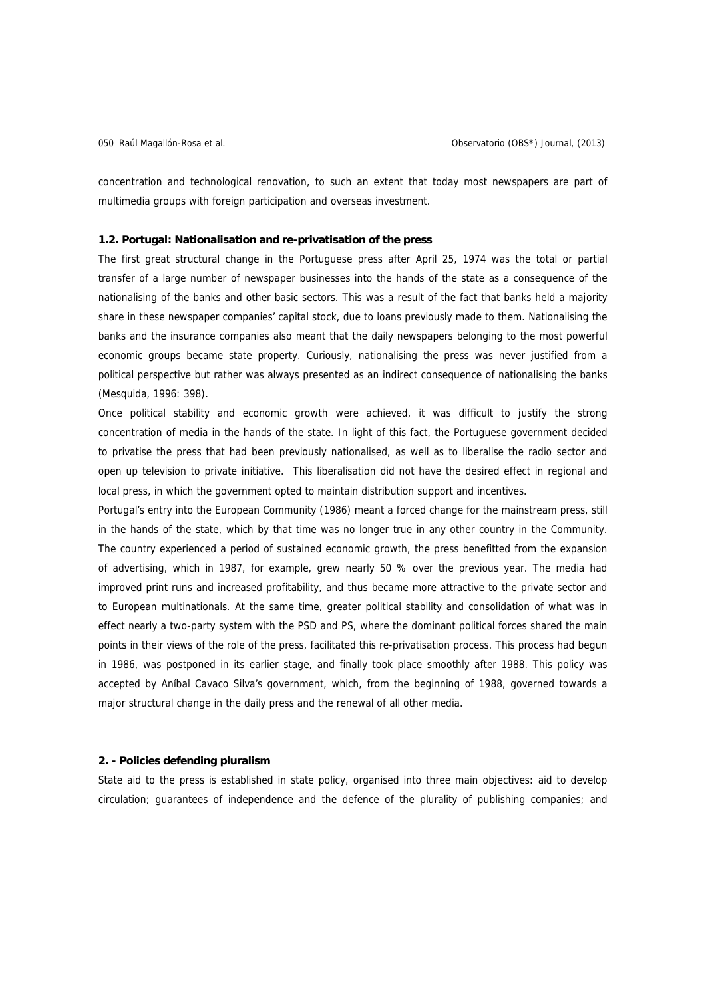concentration and technological renovation, to such an extent that today most newspapers are part of multimedia groups with foreign participation and overseas investment.

## **1.2. Portugal: Nationalisation and re-privatisation of the press**

The first great structural change in the Portuguese press after April 25, 1974 was the total or partial transfer of a large number of newspaper businesses into the hands of the state as a consequence of the nationalising of the banks and other basic sectors. This was a result of the fact that banks held a majority share in these newspaper companies' capital stock, due to loans previously made to them. Nationalising the banks and the insurance companies also meant that the daily newspapers belonging to the most powerful economic groups became state property. Curiously, nationalising the press was never justified from a political perspective but rather was always presented as an indirect consequence of nationalising the banks (Mesquida, 1996: 398).

Once political stability and economic growth were achieved, it was difficult to justify the strong concentration of media in the hands of the state. In light of this fact, the Portuguese government decided to privatise the press that had been previously nationalised, as well as to liberalise the radio sector and open up television to private initiative. This liberalisation did not have the desired effect in regional and local press, in which the government opted to maintain distribution support and incentives.

Portugal's entry into the European Community (1986) meant a forced change for the mainstream press, still in the hands of the state, which by that time was no longer true in any other country in the Community. The country experienced a period of sustained economic growth, the press benefitted from the expansion of advertising, which in 1987, for example, grew nearly 50 % over the previous year. The media had improved print runs and increased profitability, and thus became more attractive to the private sector and to European multinationals. At the same time, greater political stability and consolidation of what was in effect nearly a two-party system with the PSD and PS, where the dominant political forces shared the main points in their views of the role of the press, facilitated this re-privatisation process. This process had begun in 1986, was postponed in its earlier stage, and finally took place smoothly after 1988. This policy was accepted by Aníbal Cavaco Silva's government, which, from the beginning of 1988, governed towards a major structural change in the daily press and the renewal of all other media.

## **2. - Policies defending pluralism**

State aid to the press is established in state policy, organised into three main objectives: aid to develop circulation; guarantees of independence and the defence of the plurality of publishing companies; and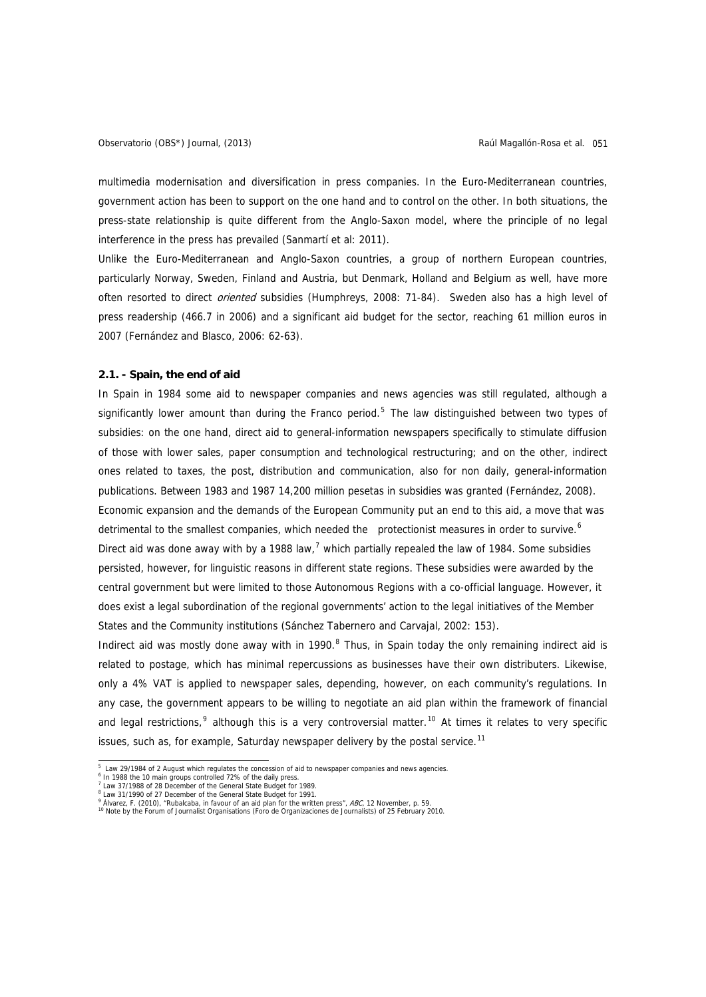multimedia modernisation and diversification in press companies. In the Euro-Mediterranean countries, government action has been to support on the one hand and to control on the other. In both situations, the press-state relationship is quite different from the Anglo-Saxon model, where the principle of no legal interference in the press has prevailed (Sanmartí et al: 2011).

Unlike the Euro-Mediterranean and Anglo-Saxon countries, a group of northern European countries, particularly Norway, Sweden, Finland and Austria, but Denmark, Holland and Belgium as well, have more often resorted to direct *oriented* subsidies (Humphreys, 2008: 71-84). Sweden also has a high level of press readership (466.7 in 2006) and a significant aid budget for the sector, reaching 61 million euros in 2007 (Fernández and Blasco, 2006: 62-63).

## **2.1. - Spain, the end of aid**

In Spain in 1984 some aid to newspaper companies and news agencies was still regulated, although a significantly lower amount than during the Franco period.<sup>[5](#page-4-0)</sup> The law distinguished between two types of subsidies: on the one hand, direct aid to general-information newspapers specifically to stimulate diffusion of those with lower sales, paper consumption and technological restructuring; and on the other, indirect ones related to taxes, the post, distribution and communication, also for non daily, general-information publications. Between 1983 and 1987 14,200 million pesetas in subsidies was granted (Fernández, 2008). Economic expansion and the demands of the European Community put an end to this aid, a move that was detrimental to the smallest companies, which needed the protectionist measures in order to survive.<sup>[6](#page-4-1)</sup> Direct aid was done away with by a 1988 law,<sup>[7](#page-4-2)</sup> which partially repealed the law of 1984. Some subsidies persisted, however, for linguistic reasons in different state regions. These subsidies were awarded by the central government but were limited to those Autonomous Regions with a co-official language. However, it does exist a legal subordination of the regional governments' action to the legal initiatives of the Member States and the Community institutions (Sánchez Tabernero and Carvajal, 2002: 153).

Indirect aid was mostly done away with in 1990. $8$  Thus, in Spain today the only remaining indirect aid is related to postage, which has minimal repercussions as businesses have their own distributers. Likewise, only a 4% VAT is applied to newspaper sales, depending, however, on each community's regulations. In any case, the government appears to be willing to negotiate an aid plan within the framework of financial and legal restrictions,<sup>[9](#page-4-4)</sup> although this is a very controversial matter.<sup>[10](#page-4-5)</sup> At times it relates to very specific issues, such as, for example, Saturday newspaper delivery by the postal service.<sup>[11](#page-4-1)</sup>

 5 Law 29/1984 of 2 August which regulates the concession of aid to newspaper companies and news agencies.

<span id="page-4-2"></span><span id="page-4-1"></span><span id="page-4-0"></span><sup>&</sup>lt;sup>6</sup> In 1988 the 10 main groups controlled 72% of the daily press.

<sup>&</sup>lt;sup>7</sup> Law 37/1988 of 28 December of the General State Budget for 1989. <sup>8</sup> Law 31/1990 of 27 December of the General State Budget for 1991.

<sup>%</sup> Alvarez, F. (2010), "Rubalcaba, in favour of an aid plan for the written press", ABC, 12 November, p. 59.

<span id="page-4-5"></span><span id="page-4-4"></span><span id="page-4-3"></span>Álvarez, F. (2010), "Rubalcaba, in favour of an aid plan for the written press", ABC, 12 November, p. 59. 10 Note by the Forum of Journalist Organisations (Foro de Organizaciones de Journalists) of 25 February 2010.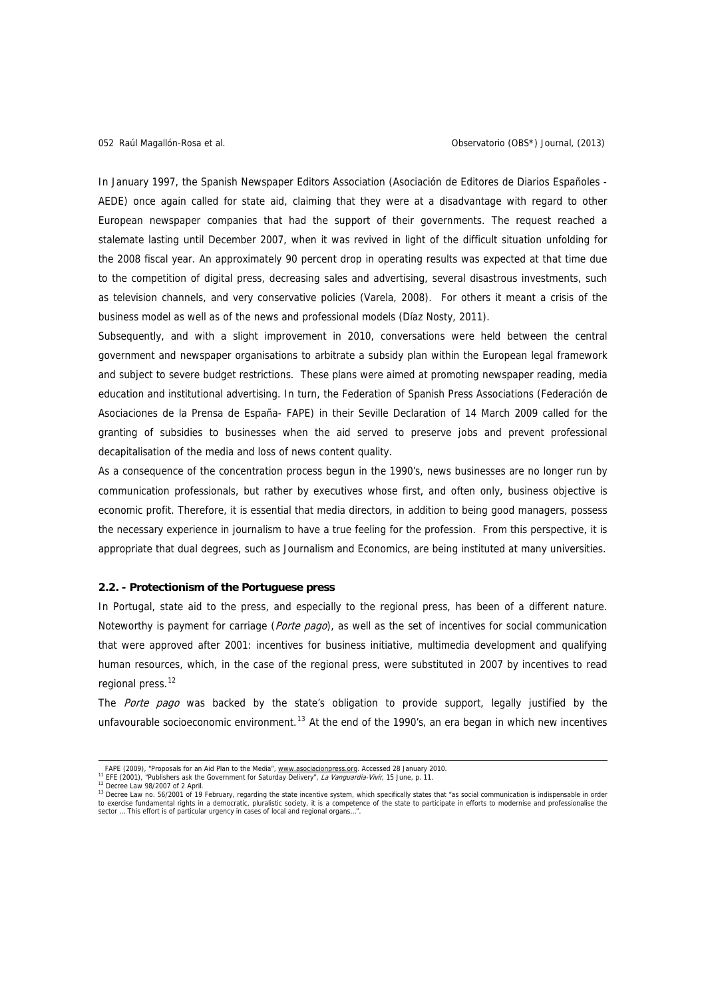In January 1997, the Spanish Newspaper Editors Association (Asociación de Editores de Diarios Españoles - AEDE) once again called for state aid, claiming that they were at a disadvantage with regard to other European newspaper companies that had the support of their governments. The request reached a stalemate lasting until December 2007, when it was revived in light of the difficult situation unfolding for the 2008 fiscal year. An approximately 90 percent drop in operating results was expected at that time due to the competition of digital press, decreasing sales and advertising, several disastrous investments, such as television channels, and very conservative policies (Varela, 2008). For others it meant a crisis of the business model as well as of the news and professional models (Díaz Nosty, 2011).

Subsequently, and with a slight improvement in 2010, conversations were held between the central government and newspaper organisations to arbitrate a subsidy plan within the European legal framework and subject to severe budget restrictions. These plans were aimed at promoting newspaper reading, media education and institutional advertising. In turn, the Federation of Spanish Press Associations (Federación de Asociaciones de la Prensa de España- FAPE) in their Seville Declaration of 14 March 2009 called for the granting of subsidies to businesses when the aid served to preserve jobs and prevent professional decapitalisation of the media and loss of news content quality.

As a consequence of the concentration process begun in the 1990's, news businesses are no longer run by communication professionals, but rather by executives whose first, and often only, business objective is economic profit. Therefore, it is essential that media directors, in addition to being good managers, possess the necessary experience in journalism to have a true feeling for the profession. From this perspective, it is appropriate that dual degrees, such as Journalism and Economics, are being instituted at many universities.

## **2.2. - Protectionism of the Portuguese press**

In Portugal, state aid to the press, and especially to the regional press, has been of a different nature. Noteworthy is payment for carriage (Porte pago), as well as the set of incentives for social communication that were approved after 2001: incentives for business initiative, multimedia development and qualifying human resources, which, in the case of the regional press, were substituted in 2007 by incentives to read regional press.<sup>[12](#page-5-0)</sup>

The Porte pago was backed by the state's obligation to provide support, legally justified by the unfavourable socioeconomic environment.<sup>[13](#page-5-1)</sup> At the end of the 1990's, an era began in which new incentives

FAPE (2009), "Proposals for an Aid Plan to the Media", [www.asociacionpress.org.](http://www.asociacionprensa.org/) Accessed 28 January 2010.<br><sup>11</sup> EFE (2001), "Publishers ask the Government for Saturday Delivery", La Vanguardia-Vivir, 15 June, p. 11.<br><sup>12</sup> De

<span id="page-5-1"></span><span id="page-5-0"></span><sup>&</sup>lt;sup>13</sup> Decree Law no. 56/2001 of 19 February, regarding the state incentive system, which specifically states that "as social communication is indispensable in order<br>to exercise fundamental rights in a democratic, pluralisti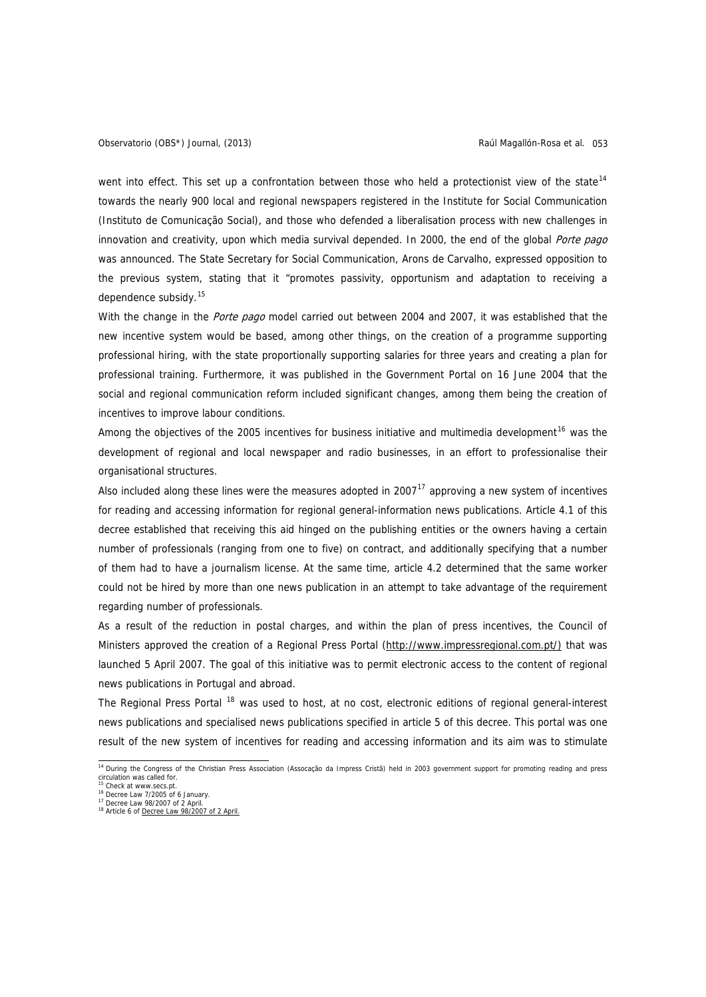went into effect. This set up a confrontation between those who held a protectionist view of the state<sup>[14](#page-6-0)</sup> towards the nearly 900 local and regional newspapers registered in the Institute for Social Communication (Instituto de Comunicação Social), and those who defended a liberalisation process with new challenges in innovation and creativity, upon which media survival depended. In 2000, the end of the global Porte pago was announced. The State Secretary for Social Communication, Arons de Carvalho, expressed opposition to the previous system, stating that it "promotes passivity, opportunism and adaptation to receiving a dependence subsidy.<sup>[15](#page-6-1)</sup>

With the change in the Porte pago model carried out between 2004 and 2007, it was established that the new incentive system would be based, among other things, on the creation of a programme supporting professional hiring, with the state proportionally supporting salaries for three years and creating a plan for professional training. Furthermore, it was published in the Government Portal on 16 June 2004 that the social and regional communication reform included significant changes, among them being the creation of incentives to improve labour conditions.

Among the objectives of the 2005 incentives for business initiative and multimedia development<sup>[16](#page-6-2)</sup> was the development of regional and local newspaper and radio businesses, in an effort to professionalise their organisational structures.

Also included along these lines were the measures adopted in 2007 $<sup>17</sup>$  $<sup>17</sup>$  $<sup>17</sup>$  approving a new system of incentives</sup> for reading and accessing information for regional general-information news publications. Article 4.1 of this decree established that receiving this aid hinged on the publishing entities or the owners having a certain number of professionals (ranging from one to five) on contract, and additionally specifying that a number of them had to have a journalism license. At the same time, article 4.2 determined that the same worker could not be hired by more than one news publication in an attempt to take advantage of the requirement regarding number of professionals.

As a result of the reduction in postal charges, and within the plan of press incentives, the Council of Ministers approved the creation of a Regional Press Portal ([http://www.impressregional.com.pt/](http://www.imprensaregional.com.pt/)) that was launched 5 April 2007. The goal of this initiative was to permit electronic access to the content of regional news publications in Portugal and abroad.

The Regional Press Portal <sup>[18](#page-6-4)</sup> was used to host, at no cost, electronic editions of regional general-interest news publications and specialised news publications specified in article 5 of this decree. This portal was one result of the new system of incentives for reading and accessing information and its aim was to stimulate

<span id="page-6-0"></span> 14 During the Congress of the Christian Press Association (Assocação da Impress Cristã) held in 2003 government support for promoting reading and press circulation was called for.<br><sup>15</sup> Check at www.secs.pt.

<span id="page-6-1"></span>

<span id="page-6-2"></span><sup>&</sup>lt;sup>16</sup> Decree Law 7/2005 of 6 January 17 Decree Law 98/2007 of 2 April.

<span id="page-6-4"></span><span id="page-6-3"></span><sup>&</sup>lt;sup>18</sup> Article 6 of [Decree Law 98/2007 of 2 April](http://www.ics.pt/verfs.php?fscod=1033&lang=pt).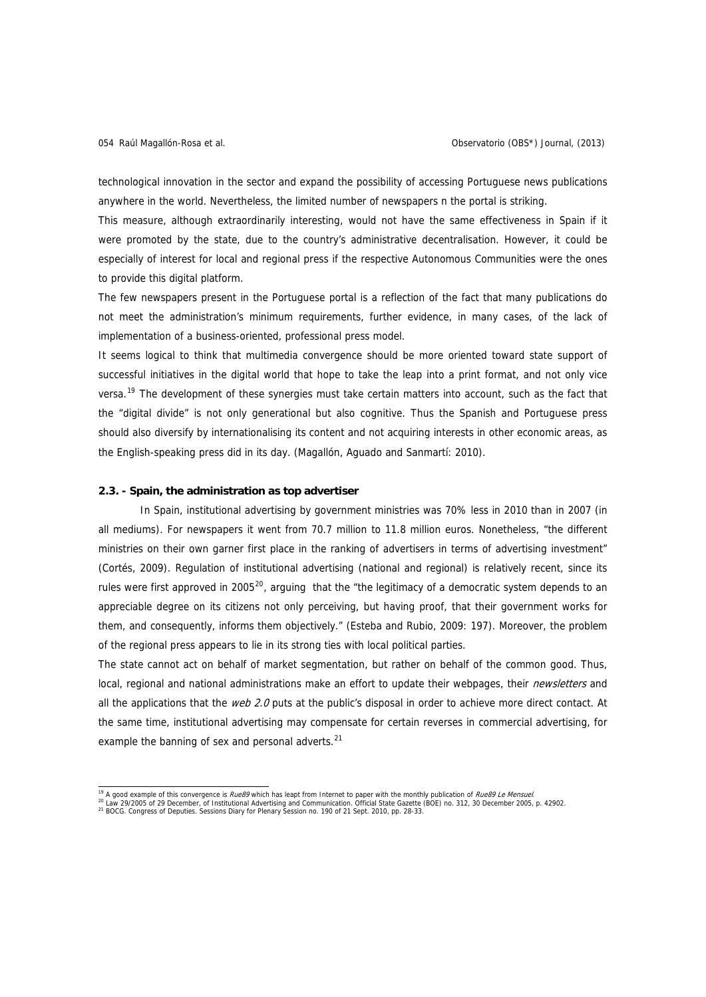technological innovation in the sector and expand the possibility of accessing Portuguese news publications anywhere in the world. Nevertheless, the limited number of newspapers n the portal is striking.

This measure, although extraordinarily interesting, would not have the same effectiveness in Spain if it were promoted by the state, due to the country's administrative decentralisation. However, it could be especially of interest for local and regional press if the respective Autonomous Communities were the ones to provide this digital platform.

The few newspapers present in the Portuguese portal is a reflection of the fact that many publications do not meet the administration's minimum requirements, further evidence, in many cases, of the lack of implementation of a business-oriented, professional press model.

It seems logical to think that multimedia convergence should be more oriented toward state support of successful initiatives in the digital world that hope to take the leap into a print format, and not only vice versa.<sup>[19](#page-7-0)</sup> The development of these synergies must take certain matters into account, such as the fact that the "digital divide" is not only generational but also cognitive. Thus the Spanish and Portuguese press should also diversify by internationalising its content and not acquiring interests in other economic areas, as the English-speaking press did in its day. (Magallón, Aguado and Sanmartí: 2010).

### **2.3. - Spain, the administration as top advertiser**

In Spain, institutional advertising by government ministries was 70% less in 2010 than in 2007 (in all mediums). For newspapers it went from 70.7 million to 11.8 million euros. Nonetheless, "the different ministries on their own garner first place in the ranking of advertisers in terms of advertising investment" (Cortés, 2009). Regulation of institutional advertising (national and regional) is relatively recent, since its rules were first approved in [20](#page-7-1)05<sup>20</sup>, arguing that the "the legitimacy of a democratic system depends to an appreciable degree on its citizens not only perceiving, but having proof, that their government works for them, and consequently, informs them objectively." (Esteba and Rubio, 2009: 197). Moreover, the problem of the regional press appears to lie in its strong ties with local political parties.

The state cannot act on behalf of market segmentation, but rather on behalf of the common good. Thus, local, regional and national administrations make an effort to update their webpages, their *newsletters* and all the applications that the web 2.0 puts at the public's disposal in order to achieve more direct contact. At the same time, institutional advertising may compensate for certain reverses in commercial advertising, for example the banning of sex and personal adverts.<sup>[21](#page-7-2)</sup>

<span id="page-7-1"></span><span id="page-7-0"></span>

<sup>&</sup>lt;sup>19</sup> A good example of this convergence is *Rue89* which has leapt from Internet to paper with the monthly publication of *Rue89 Le Mensuel.*<br><sup>20</sup> Law 29/2005 of 29 December, of Institutional Advertising and Communication.

<span id="page-7-2"></span>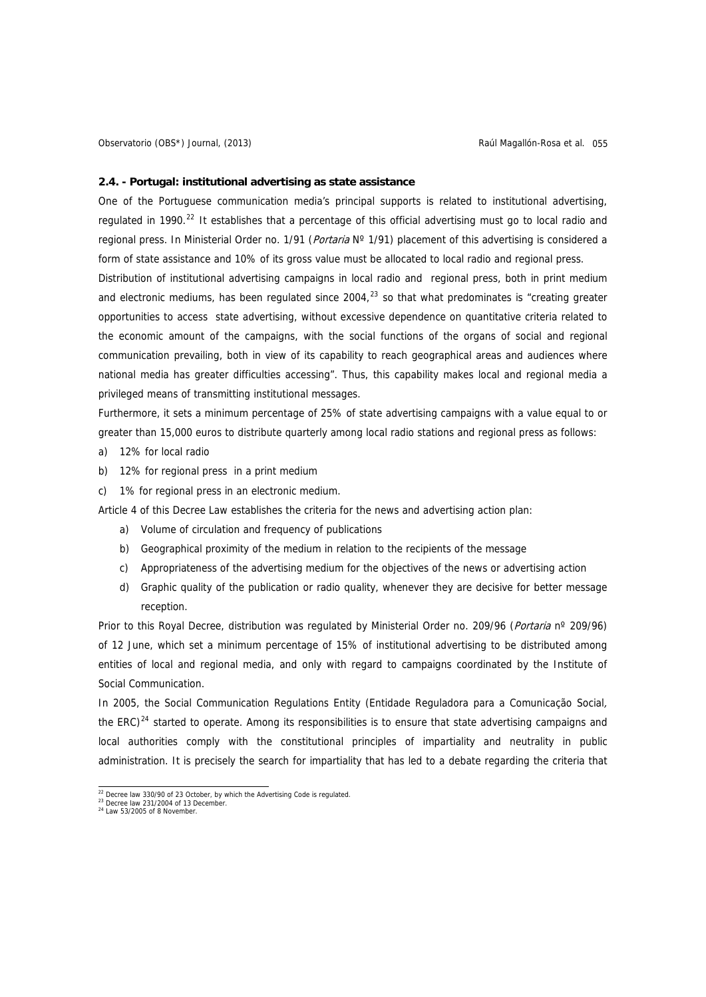#### **2.4. - Portugal: institutional advertising as state assistance**

One of the Portuguese communication media's principal supports is related to institutional advertising, regulated in 1990.<sup>[22](#page-8-0)</sup> It establishes that a percentage of this official advertising must go to local radio and regional press. In Ministerial Order no. 1/91 (*Portaria* N° 1/91) placement of this advertising is considered a form of state assistance and 10% of its gross value must be allocated to local radio and regional press.

Distribution of institutional advertising campaigns in local radio and regional press, both in print medium and electronic mediums, has been regulated since 2004, $^{23}$  $^{23}$  $^{23}$  so that what predominates is "creating greater opportunities to access state advertising, without excessive dependence on quantitative criteria related to the economic amount of the campaigns, with the social functions of the organs of social and regional communication prevailing, both in view of its capability to reach geographical areas and audiences where national media has greater difficulties accessing". Thus, this capability makes local and regional media a privileged means of transmitting institutional messages.

Furthermore, it sets a minimum percentage of 25% of state advertising campaigns with a value equal to or greater than 15,000 euros to distribute quarterly among local radio stations and regional press as follows:

- a) 12% for local radio
- b) 12% for regional press in a print medium
- c) 1% for regional press in an electronic medium.

Article 4 of this Decree Law establishes the criteria for the news and advertising action plan:

- a) Volume of circulation and frequency of publications
- b) Geographical proximity of the medium in relation to the recipients of the message
- c) Appropriateness of the advertising medium for the objectives of the news or advertising action
- d) Graphic quality of the publication or radio quality, whenever they are decisive for better message reception.

Prior to this Royal Decree, distribution was regulated by Ministerial Order no. 209/96 (Portaria nº 209/96) of 12 June, which set a minimum percentage of 15% of institutional advertising to be distributed among entities of local and regional media, and only with regard to campaigns coordinated by the Institute of Social Communication.

In 2005, the Social Communication Regulations Entity (Entidade Reguladora para a Comunicação Social, the ERC)<sup>[24](#page-8-2)</sup> started to operate. Among its responsibilities is to ensure that state advertising campaigns and local authorities comply with the constitutional principles of impartiality and neutrality in public administration. It is precisely the search for impartiality that has led to a debate regarding the criteria that

 $22$  Decree law 330/90 of 23 October, by which the Advertising Code is regulated.

<span id="page-8-2"></span><span id="page-8-1"></span><span id="page-8-0"></span><sup>23</sup> Decree law 231/2004 of 13 December 24 Law 53/2005 of 8 November.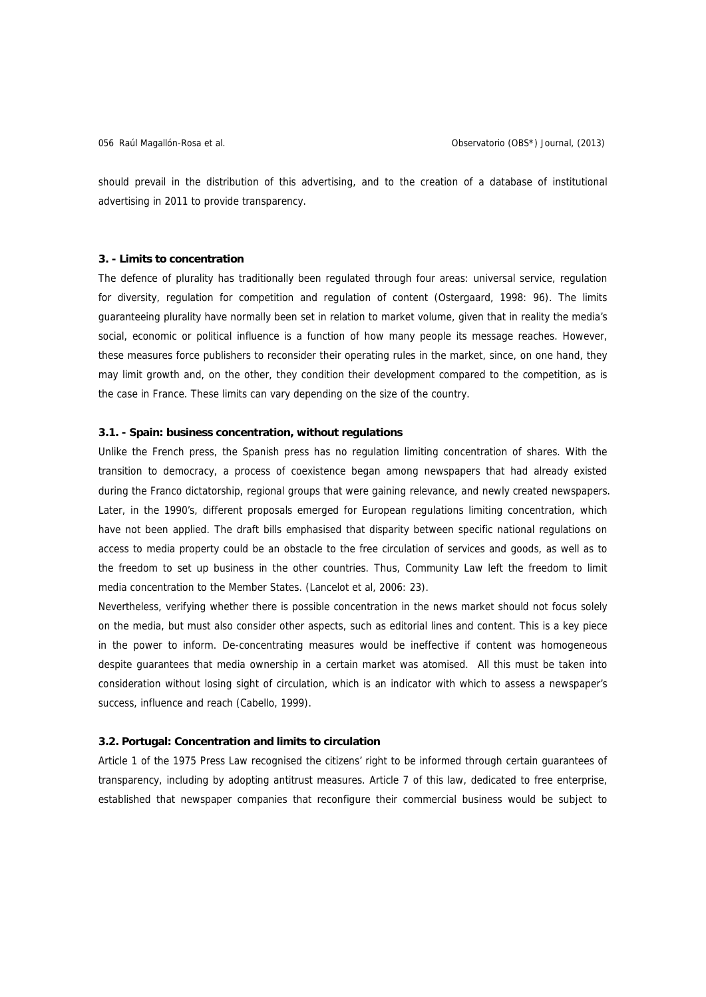should prevail in the distribution of this advertising, and to the creation of a database of institutional advertising in 2011 to provide transparency.

### **3. - Limits to concentration**

The defence of plurality has traditionally been regulated through four areas: universal service, regulation for diversity, regulation for competition and regulation of content (Ostergaard, 1998: 96). The limits guaranteeing plurality have normally been set in relation to market volume, given that in reality the media's social, economic or political influence is a function of how many people its message reaches. However, these measures force publishers to reconsider their operating rules in the market, since, on one hand, they may limit growth and, on the other, they condition their development compared to the competition, as is the case in France. These limits can vary depending on the size of the country.

## **3.1. - Spain: business concentration, without regulations**

Unlike the French press, the Spanish press has no regulation limiting concentration of shares. With the transition to democracy, a process of coexistence began among newspapers that had already existed during the Franco dictatorship, regional groups that were gaining relevance, and newly created newspapers. Later, in the 1990's, different proposals emerged for European regulations limiting concentration, which have not been applied. The draft bills emphasised that disparity between specific national regulations on access to media property could be an obstacle to the free circulation of services and goods, as well as to the freedom to set up business in the other countries. Thus, Community Law left the freedom to limit media concentration to the Member States. (Lancelot et al, 2006: 23).

Nevertheless, verifying whether there is possible concentration in the news market should not focus solely on the media, but must also consider other aspects, such as editorial lines and content. This is a key piece in the power to inform. De-concentrating measures would be ineffective if content was homogeneous despite guarantees that media ownership in a certain market was atomised. All this must be taken into consideration without losing sight of circulation, which is an indicator with which to assess a newspaper's success, influence and reach (Cabello, 1999).

## **3.2. Portugal: Concentration and limits to circulation**

Article 1 of the 1975 Press Law recognised the citizens' right to be informed through certain guarantees of transparency, including by adopting antitrust measures. Article 7 of this law, dedicated to free enterprise, established that newspaper companies that reconfigure their commercial business would be subject to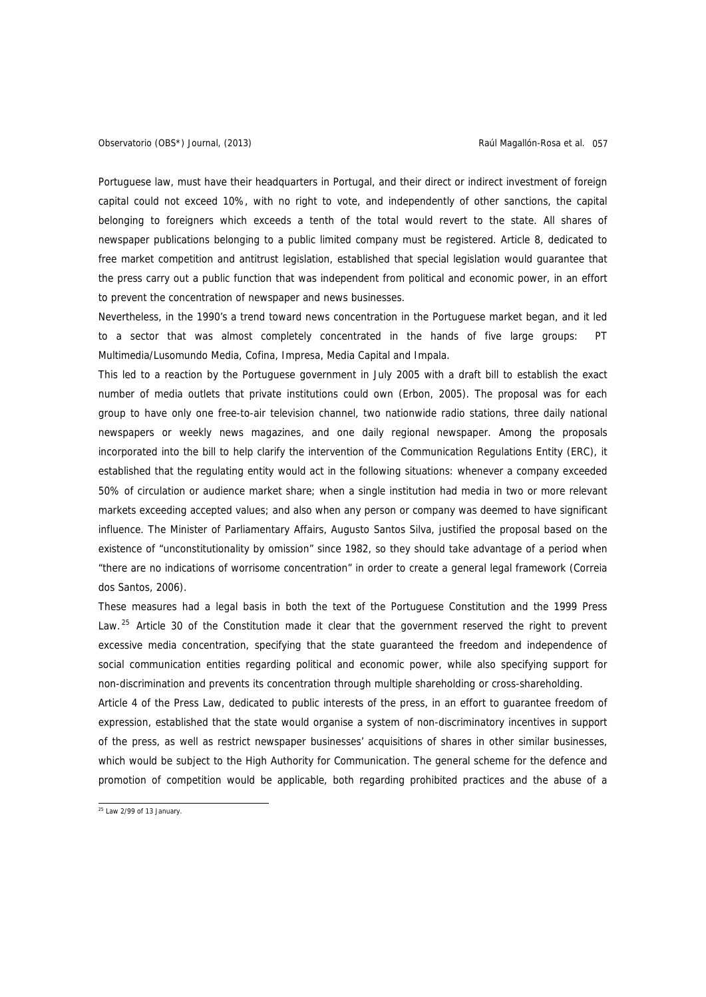Portuguese law, must have their headquarters in Portugal, and their direct or indirect investment of foreign capital could not exceed 10%, with no right to vote, and independently of other sanctions, the capital belonging to foreigners which exceeds a tenth of the total would revert to the state. All shares of newspaper publications belonging to a public limited company must be registered. Article 8, dedicated to free market competition and antitrust legislation, established that special legislation would guarantee that the press carry out a public function that was independent from political and economic power, in an effort to prevent the concentration of newspaper and news businesses.

Nevertheless, in the 1990's a trend toward news concentration in the Portuguese market began, and it led to a sector that was almost completely concentrated in the hands of five large groups: PT Multimedia/Lusomundo Media, Cofina, Impresa, Media Capital and Impala.

This led to a reaction by the Portuguese government in July 2005 with a draft bill to establish the exact number of media outlets that private institutions could own (Erbon, 2005). The proposal was for each group to have only one free-to-air television channel, two nationwide radio stations, three daily national newspapers or weekly news magazines, and one daily regional newspaper. Among the proposals incorporated into the bill to help clarify the intervention of the Communication Regulations Entity (ERC), it established that the regulating entity would act in the following situations: whenever a company exceeded 50% of circulation or audience market share; when a single institution had media in two or more relevant markets exceeding accepted values; and also when any person or company was deemed to have significant influence. The Minister of Parliamentary Affairs, Augusto Santos Silva, justified the proposal based on the existence of "unconstitutionality by omission" since 1982, so they should take advantage of a period when "there are no indications of worrisome concentration" in order to create a general legal framework (Correia dos Santos, 2006).

non-discrimination and prevents its concentration through multiple shareholding or cross-shareholding. These measures had a legal basis in both the text of the Portuguese Constitution and the 1999 Press Law. <sup>[25](#page-10-0)</sup> Article 30 of the Constitution made it clear that the government reserved the right to prevent excessive media concentration, specifying that the state guaranteed the freedom and independence of social communication entities regarding political and economic power, while also specifying support for

Article 4 of the Press Law, dedicated to public interests of the press, in an effort to guarantee freedom of expression, established that the state would organise a system of non-discriminatory incentives in support of the press, as well as restrict newspaper businesses' acquisitions of shares in other similar businesses, which would be subject to the High Authority for Communication. The general scheme for the defence and promotion of competition would be applicable, both regarding prohibited practices and the abuse of a

<span id="page-10-0"></span> $25$  Law 2/99 of 13 January.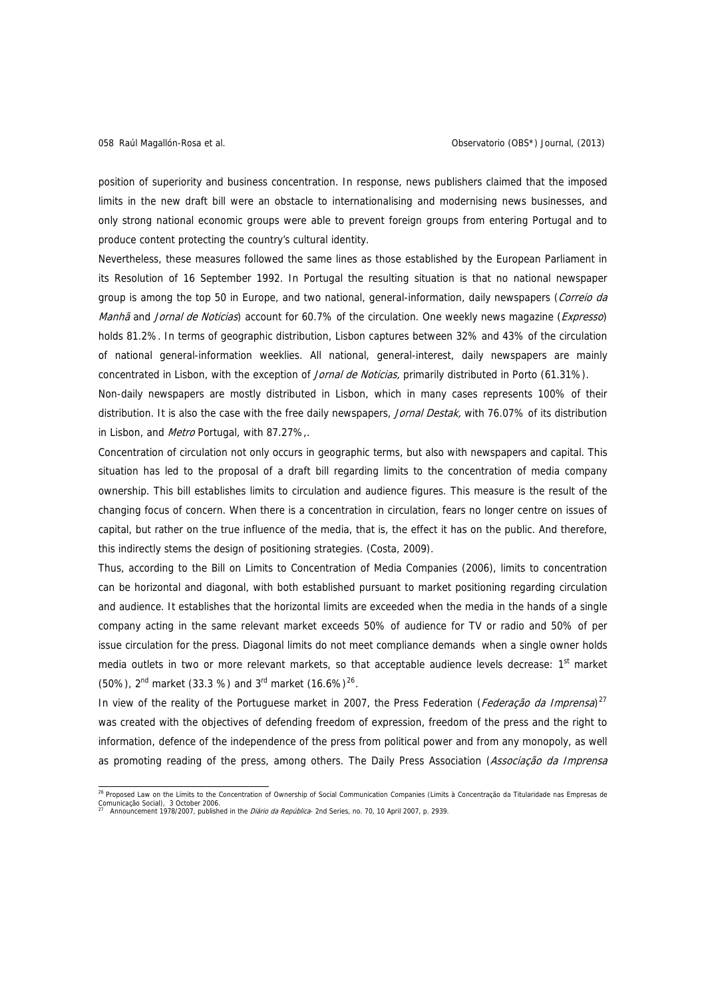position of superiority and business concentration. In response, news publishers claimed that the imposed limits in the new draft bill were an obstacle to internationalising and modernising news businesses, and only strong national economic groups were able to prevent foreign groups from entering Portugal and to produce content protecting the country's cultural identity.

Nevertheless, these measures followed the same lines as those established by the European Parliament in its Resolution of 16 September 1992. In Portugal the resulting situation is that no national newspaper group is among the top 50 in Europe, and two national, general-information, daily newspapers (Correio da Manhã and Jornal de Noticias) account for 60.7% of the circulation. One weekly news magazine (Expresso) holds 81.2%. In terms of geographic distribution, Lisbon captures between 32% and 43% of the circulation of national general-information weeklies. All national, general-interest, daily newspapers are mainly concentrated in Lisbon, with the exception of Jornal de Noticias, primarily distributed in Porto (61.31%).

Non-daily newspapers are mostly distributed in Lisbon, which in many cases represents 100% of their distribution. It is also the case with the free daily newspapers, Jornal Destak, with 76.07% of its distribution in Lisbon, and Metro Portugal, with 87.27%,.

Concentration of circulation not only occurs in geographic terms, but also with newspapers and capital. This situation has led to the proposal of a draft bill regarding limits to the concentration of media company ownership. This bill establishes limits to circulation and audience figures. This measure is the result of the changing focus of concern. When there is a concentration in circulation, fears no longer centre on issues of capital, but rather on the true influence of the media, that is, the effect it has on the public. And therefore, this indirectly stems the design of positioning strategies. (Costa, 2009).

Thus, according to the Bill on Limits to Concentration of Media Companies (2006), limits to concentration can be horizontal and diagonal, with both established pursuant to market positioning regarding circulation and audience. It establishes that the horizontal limits are exceeded when the media in the hands of a single company acting in the same relevant market exceeds 50% of audience for TV or radio and 50% of per issue circulation for the press. Diagonal limits do not meet compliance demands when a single owner holds media outlets in two or more relevant markets, so that acceptable audience levels decrease: 1<sup>st</sup> market (50%),  $2^{nd}$  market (33.3 %) and  $3^{rd}$  market (16.6%)<sup>[26](#page-11-0)</sup>.

In view of the reality of the Portuguese market in 2007, the Press Federation (Federação da Imprensa)<sup>[27](#page-11-1)</sup> was created with the objectives of defending freedom of expression, freedom of the press and the right to information, defence of the independence of the press from political power and from any monopoly, as well as promoting reading of the press, among others. The Daily Press Association (Associação da Imprensa

<span id="page-11-1"></span><span id="page-11-0"></span> 26 Proposed Law on the Límits to the Concentration of Ownership of Social Communication Companies (Limits à Concentração da Titularidade nas Empresas de Comunicação Social), 3 October 2006 27 Announcement 1978/2007, published in the *Diário da República*- 2nd Series, no. 70, 10 April 2007, p. 2939.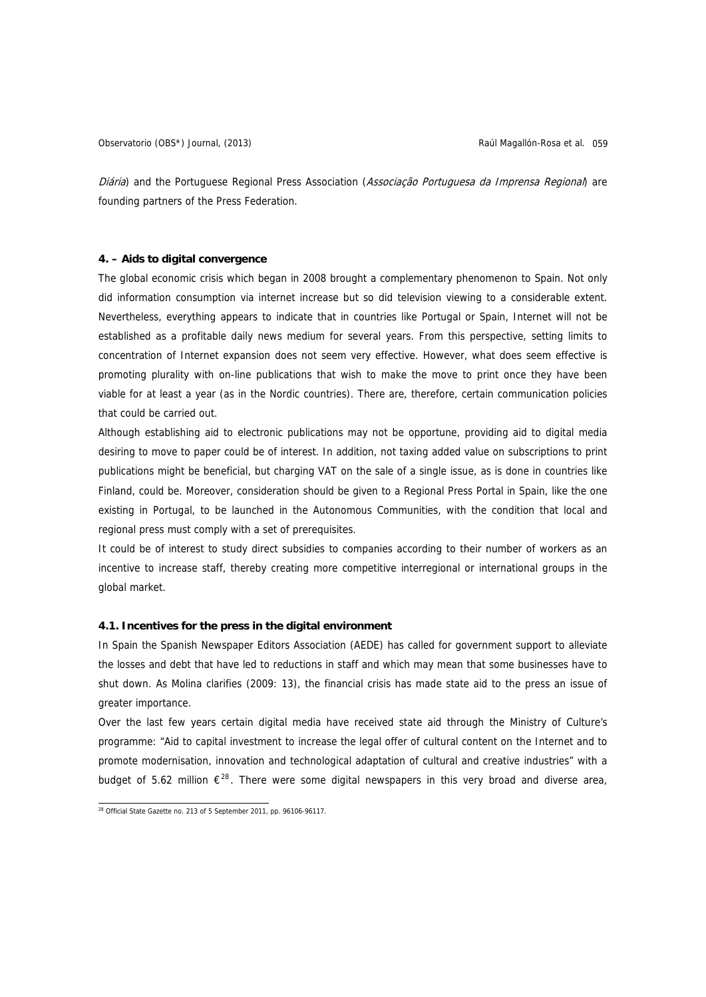Observatorio (OBS\*) Journal, (2013) Raúl Magallón-Rosa et al. 059

Diária) and the Portuguese Regional Press Association (Associação Portuguesa da Imprensa Regional) are founding partners of the Press Federation.

## **4. – Aids to digital convergence**

The global economic crisis which began in 2008 brought a complementary phenomenon to Spain. Not only did information consumption via internet increase but so did television viewing to a considerable extent. Nevertheless, everything appears to indicate that in countries like Portugal or Spain, Internet will not be established as a profitable daily news medium for several years. From this perspective, setting limits to concentration of Internet expansion does not seem very effective. However, what does seem effective is promoting plurality with on-line publications that wish to make the move to print once they have been viable for at least a year (as in the Nordic countries). There are, therefore, certain communication policies that could be carried out.

Although establishing aid to electronic publications may not be opportune, providing aid to digital media desiring to move to paper could be of interest. In addition, not taxing added value on subscriptions to print publications might be beneficial, but charging VAT on the sale of a single issue, as is done in countries like Finland, could be. Moreover, consideration should be given to a Regional Press Portal in Spain, like the one existing in Portugal, to be launched in the Autonomous Communities, with the condition that local and regional press must comply with a set of prerequisites.

It could be of interest to study direct subsidies to companies according to their number of workers as an incentive to increase staff, thereby creating more competitive interregional or international groups in the global market.

## **4.1. Incentives for the press in the digital environment**

In Spain the Spanish Newspaper Editors Association (AEDE) has called for government support to alleviate the losses and debt that have led to reductions in staff and which may mean that some businesses have to shut down. As Molina clarifies (2009: 13), the financial crisis has made state aid to the press an issue of greater importance.

Over the last few years certain digital media have received state aid through the Ministry of Culture's programme: "Aid to capital investment to increase the legal offer of cultural content on the Internet and to promote modernisation, innovation and technological adaptation of cultural and creative industries" with a budget of 5.62 million  $\epsilon^{28}$  $\epsilon^{28}$  $\epsilon^{28}$ . There were some digital newspapers in this very broad and diverse area,

<span id="page-12-0"></span> $\frac{28}{2}$  Official State Gazette no. 213 of 5 September 2011, pp. 96106-96117.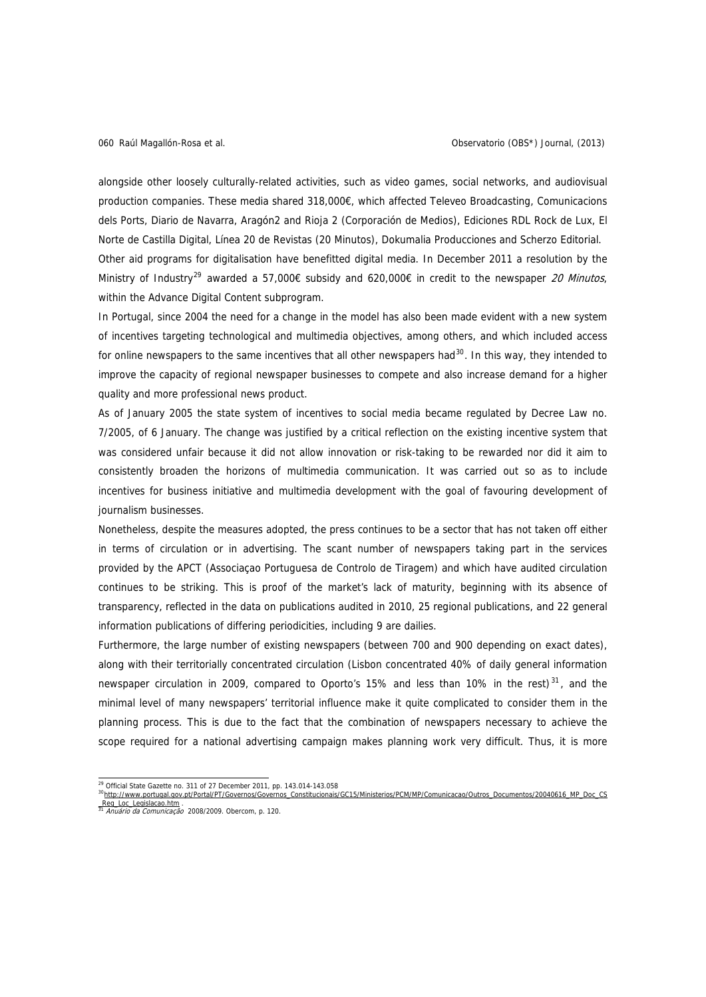alongside other loosely culturally-related activities, such as video games, social networks, and audiovisual production companies. These media shared 318,000€, which affected Televeo Broadcasting, Comunicacions dels Ports, Diario de Navarra, Aragón2 and Rioja 2 (Corporación de Medios), Ediciones RDL Rock de Lux, El Norte de Castilla Digital, Línea 20 de Revistas (20 Minutos), Dokumalia Producciones and Scherzo Editorial. Other aid programs for digitalisation have benefitted digital media. In December 2011 a resolution by the Ministry of Industry<sup>[29](#page-13-0)</sup> awarded a 57,000€ subsidy and 620,000€ in credit to the newspaper 20 Minutos, within the Advance Digital Content subprogram.

In Portugal, since 2004 the need for a change in the model has also been made evident with a new system of incentives targeting technological and multimedia objectives, among others, and which included access for online newspapers to the same incentives that all other newspapers had $30$ . In this way, they intended to improve the capacity of regional newspaper businesses to compete and also increase demand for a higher quality and more professional news product.

As of January 2005 the state system of incentives to social media became regulated by Decree Law no. 7/2005, of 6 January. The change was justified by a critical reflection on the existing incentive system that was considered unfair because it did not allow innovation or risk-taking to be rewarded nor did it aim to consistently broaden the horizons of multimedia communication. It was carried out so as to include incentives for business initiative and multimedia development with the goal of favouring development of journalism businesses.

Nonetheless, despite the measures adopted, the press continues to be a sector that has not taken off either in terms of circulation or in advertising. The scant number of newspapers taking part in the services provided by the APCT (Associaçao Portuguesa de Controlo de Tiragem) and which have audited circulation continues to be striking. This is proof of the market's lack of maturity, beginning with its absence of transparency, reflected in the data on publications audited in 2010, 25 regional publications, and 22 general information publications of differing periodicities, including 9 are dailies.

Furthermore, the large number of existing newspapers (between 700 and 900 depending on exact dates), along with their territorially concentrated circulation (Lisbon concentrated 40% of daily general information newspaper circulation in 2009, compared to Oporto's 15% and less than 10% in the rest)<sup>[31](#page-13-2)</sup>, and the minimal level of many newspapers' territorial influence make it quite complicated to consider them in the planning process. This is due to the fact that the combination of newspapers necessary to achieve the scope required for a national advertising campaign makes planning work very difficult. Thus, it is more

 $^{29}$  Official State Gazette no. 311 of 27 December 2011, pp. 143.014-143.058 <sup>30</sup> [http://www.portugal.gov.pt/Portal/PT/Governos/Governos\\_Constitucionais/GC15/Ministerios/PCM/MP/Comunicacao/Outros\\_Documentos/20040616\\_MP\\_Doc\\_CS](http://www.portugal.gov.pt/Portal/PT/Governos/Governos_Constitucionais/GC15/Ministerios/PCM/MP/Comunicacao/Outros_Documentos/20040616_MP_Doc_CS_Reg_Loc_Legislacao.htm)

<span id="page-13-2"></span><span id="page-13-1"></span><span id="page-13-0"></span>

[\\_Reg\\_Loc\\_Legislacao.htm](http://www.portugal.gov.pt/Portal/PT/Governos/Governos_Constitucionais/GC15/Ministerios/PCM/MP/Comunicacao/Outros_Documentos/20040616_MP_Doc_CS_Reg_Loc_Legislacao.htm) . [31](http://www.portugal.gov.pt/Portal/PT/Governos/Governos_Constitucionais/GC15/Ministerios/PCM/MP/Comunicacao/Outros_Documentos/20040616_MP_Doc_CS_Reg_Loc_Legislacao.htm) Anuário da Comunicação 2008/2009. Obercom, p. 120.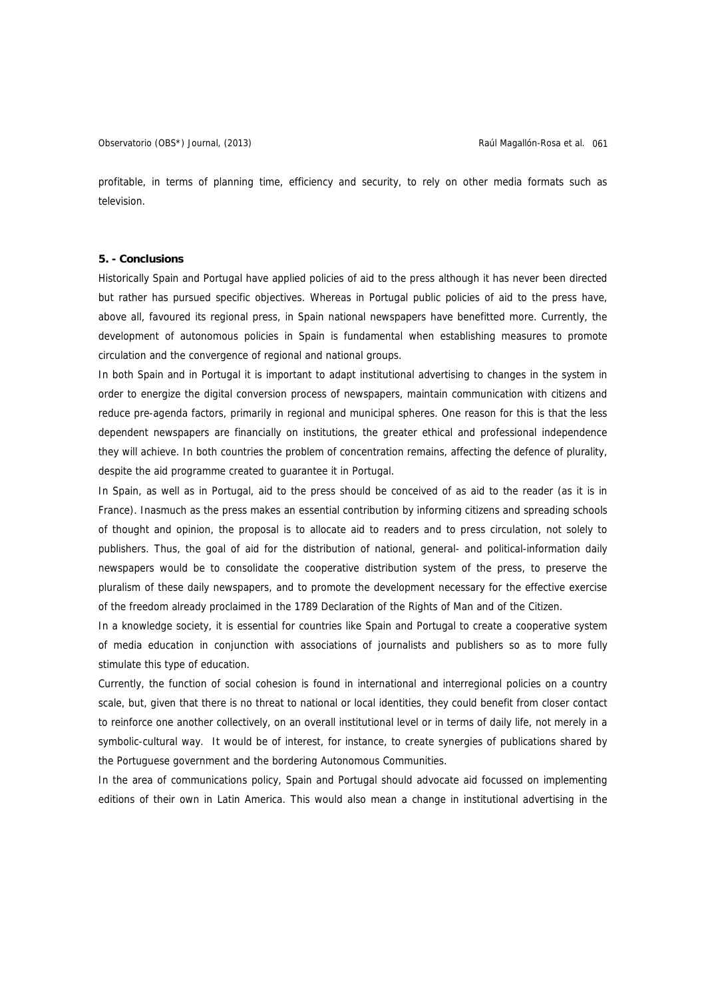profitable, in terms of planning time, efficiency and security, to rely on other media formats such as television.

#### **5. - Conclusions**

Historically Spain and Portugal have applied policies of aid to the press although it has never been directed but rather has pursued specific objectives. Whereas in Portugal public policies of aid to the press have, above all, favoured its regional press, in Spain national newspapers have benefitted more. Currently, the development of autonomous policies in Spain is fundamental when establishing measures to promote circulation and the convergence of regional and national groups.

In both Spain and in Portugal it is important to adapt institutional advertising to changes in the system in order to energize the digital conversion process of newspapers, maintain communication with citizens and reduce pre-agenda factors, primarily in regional and municipal spheres. One reason for this is that the less dependent newspapers are financially on institutions, the greater ethical and professional independence they will achieve. In both countries the problem of concentration remains, affecting the defence of plurality, despite the aid programme created to guarantee it in Portugal.

In Spain, as well as in Portugal, aid to the press should be conceived of as aid to the reader (as it is in France). Inasmuch as the press makes an essential contribution by informing citizens and spreading schools of thought and opinion, the proposal is to allocate aid to readers and to press circulation, not solely to publishers. Thus, the goal of aid for the distribution of national, general- and political-information daily newspapers would be to consolidate the cooperative distribution system of the press, to preserve the pluralism of these daily newspapers, and to promote the development necessary for the effective exercise of the freedom already proclaimed in the 1789 Declaration of the Rights of Man and of the Citizen.

In a knowledge society, it is essential for countries like Spain and Portugal to create a cooperative system of media education in conjunction with associations of journalists and publishers so as to more fully stimulate this type of education.

Currently, the function of social cohesion is found in international and interregional policies on a country scale, but, given that there is no threat to national or local identities, they could benefit from closer contact to reinforce one another collectively, on an overall institutional level or in terms of daily life, not merely in a symbolic-cultural way. It would be of interest, for instance, to create synergies of publications shared by the Portuguese government and the bordering Autonomous Communities.

In the area of communications policy, Spain and Portugal should advocate aid focussed on implementing editions of their own in Latin America. This would also mean a change in institutional advertising in the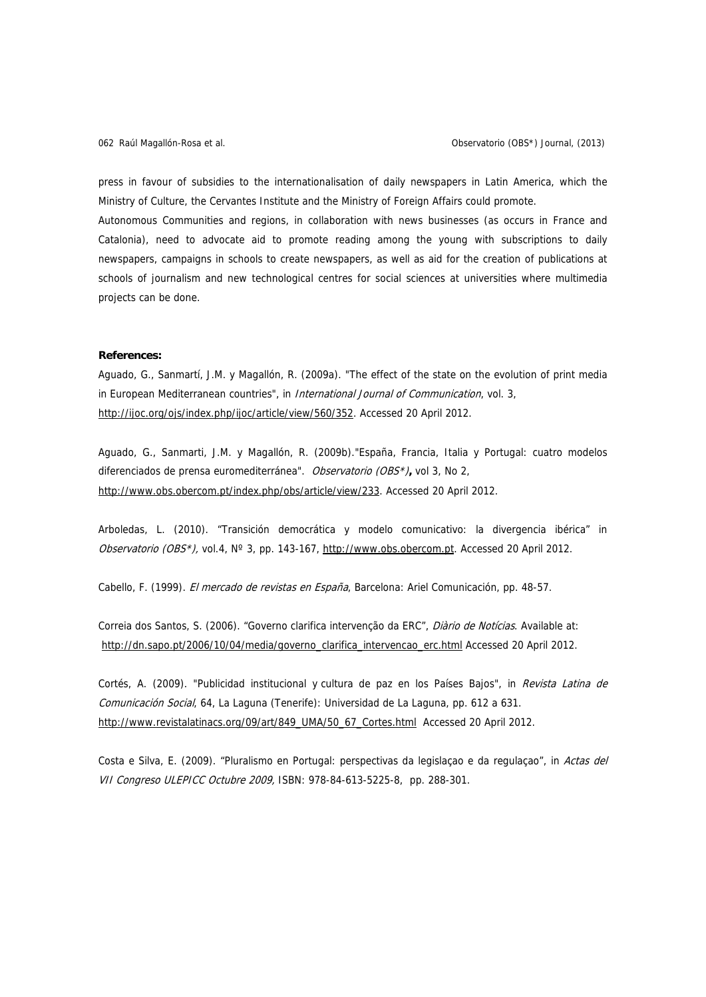press in favour of subsidies to the internationalisation of daily newspapers in Latin America, which the Ministry of Culture, the Cervantes Institute and the Ministry of Foreign Affairs could promote.

Autonomous Communities and regions, in collaboration with news businesses (as occurs in France and Catalonia), need to advocate aid to promote reading among the young with subscriptions to daily newspapers, campaigns in schools to create newspapers, as well as aid for the creation of publications at schools of journalism and new technological centres for social sciences at universities where multimedia projects can be done.

## **References:**

Aguado, G., Sanmartí, J.M. y Magallón, R. (2009a). "The effect of the state on the evolution of print media in European Mediterranean countries", in *International Journal of Communication*, vol. 3, <http://ijoc.org/ojs/index.php/ijoc/article/view/560/352>. Accessed 20 April 2012.

Aguado, G., Sanmarti, J.M. y Magallón, R. (2009b)."España, Francia, Italia y Portugal: cuatro modelos diferenciados de prensa euromediterránea". Observatorio (OBS\*)**,** vol 3, No 2, <http://www.obs.obercom.pt/index.php/obs/article/view/233>. Accessed 20 April 2012.

Arboledas, L. (2010). "Transición democrática y modelo comunicativo: la divergencia ibérica" in Observatorio (OBS\*), vol.4, N° 3, pp. 143-167, [http://www.obs.obercom.pt](http://www.obs.obercom.pt/). Accessed 20 April 2012.

Cabello, F. (1999). El mercado de revistas en España, Barcelona: Ariel Comunicación, pp. 48-57.

Correia dos Santos, S. (2006). "Governo clarifica intervenção da ERC", Diàrio de Notícias. Available at: [http://dn.sapo.pt/2006/10/04/media/governo\\_clarifica\\_intervencao\\_erc.html](http://dn.sapo.pt/2006/10/04/media/governo_clarifica_intervencao_erc.html) Accessed 20 April 2012.

Cortés, A. (2009). "Publicidad institucional y cultura de paz en los Países Bajos", in Revista Latina de Comunicación Social, 64, La Laguna (Tenerife): Universidad de La Laguna, pp. 612 a 631. [http://www.revistalatinacs.org/09/art/849\\_UMA/50\\_67\\_Cortes.html](http://www.revistalatinacs.org/09/art/849_UMA/50_67_Cortes.html) Accessed 20 April 2012.

Costa e Silva, E. (2009). "Pluralismo en Portugal: perspectivas da legislação e da regulação", in Actas del VII Congreso ULEPICC Octubre 2009, ISBN: 978-84-613-5225-8, pp. 288-301.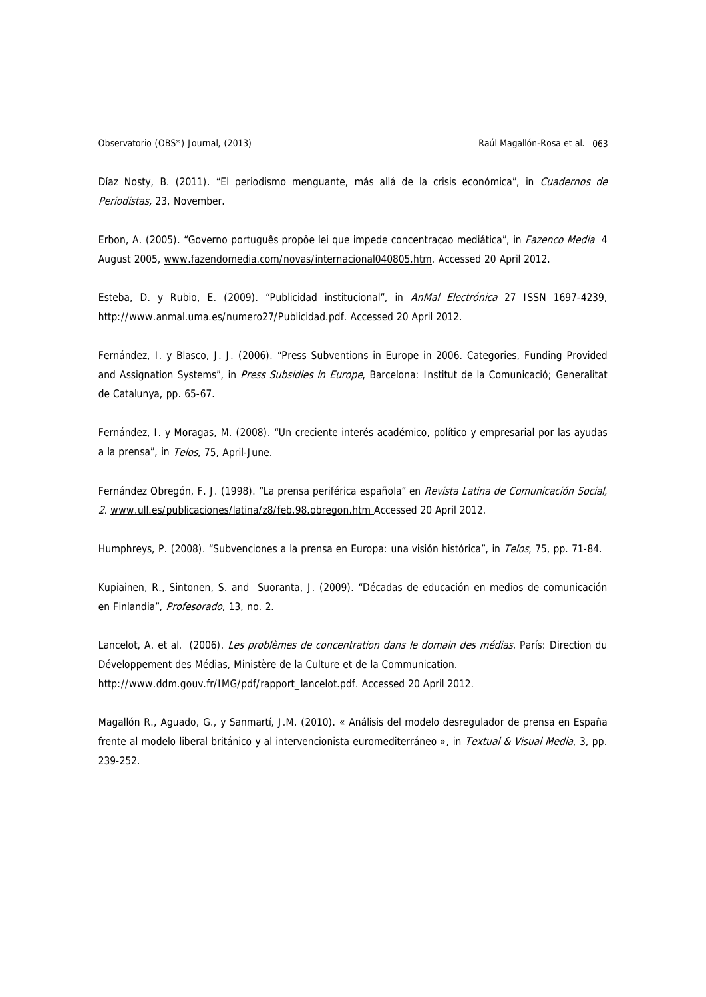Observatorio (OBS\*) Journal, (2013) Raúl Magallón-Rosa et al. 063

Díaz Nosty, B. (2011). "El periodismo menquante, más allá de la crisis económica", in Cuadernos de Periodistas, 23, November.

Erbon, A. (2005). "Governo português propôe lei que impede concentração mediática", in *Fazenco Media* 4 August 2005, [www.fazendomedia.com/novas/internacional040805.htm](http://www.fazendomedia.com/novas/internacional040805.htm). Accessed 20 April 2012.

Esteba, D. y Rubio, E. (2009). "Publicidad institucional", in AnMal Electrónica 27 ISSN 1697-4239, <http://www.anmal.uma.es/numero27/Publicidad.pdf>. Accessed 20 April 2012.

Fernández, I. y Blasco, J. J. (2006). "Press Subventions in Europe in 2006. Categories, Funding Provided and Assignation Systems", in Press Subsidies in Europe, Barcelona: Institut de la Comunicació; Generalitat de Catalunya, pp. 65-67.

Fernández, I. y Moragas, M. (2008). "Un creciente interés académico, político y empresarial por las ayudas a la prensa", in Telos, 75, April-June.

Fernández Obregón, F. J. (1998). "La prensa periférica española" en Revista Latina de Comunicación Social, 2. [www.ull.es/publicaciones/latina/z8/feb.98.obregon.htm](http://www.ull.es/publicaciones/latina/z8/feb.98.obregon.htm) Accessed 20 April 2012.

Humphreys, P. (2008). "Subvenciones a la prensa en Europa: una visión histórica", in Telos, 75, pp. 71-84.

Kupiainen, R., Sintonen, S. and Suoranta, J. (2009). "Décadas de educación en medios de comunicación en Finlandia", Profesorado, 13, no. 2.

Lancelot, A. et al. (2006). Les problèmes de concentration dans le domain des médias. París: Direction du Développement des Médias, Ministère de la Culture et de la Communication. [http://www.ddm.gouv.fr/IMG/pdf/rapport\\_lancelot.pdf.](http://www.ddm.gouv.fr/IMG/pdf/rapport_lancelot.pdf) Accessed 20 April 2012.

Magallón R., Aguado, G., y Sanmartí, J.M. (2010). « Análisis del modelo desregulador de prensa en España frente al modelo liberal británico y al intervencionista euromediterráneo », in Textual & Visual Media, 3, pp. 239-252.